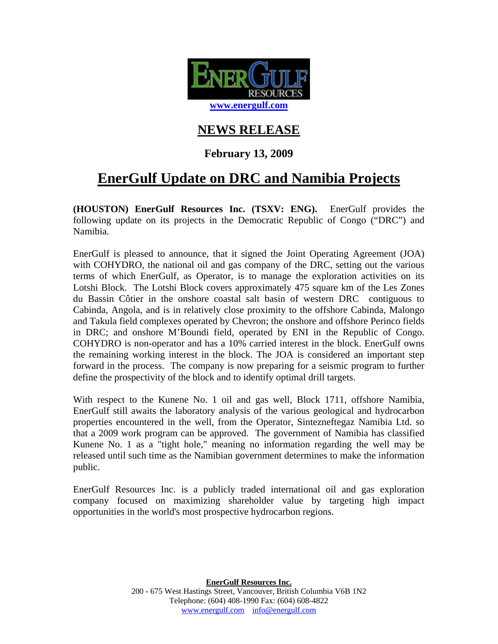

## **NEWS RELEASE**

## **February 13, 2009**

## **EnerGulf Update on DRC and Namibia Projects**

**(HOUSTON) EnerGulf Resources Inc. (TSXV: ENG).** EnerGulf provides the following update on its projects in the Democratic Republic of Congo ("DRC") and Namibia.

EnerGulf is pleased to announce, that it signed the Joint Operating Agreement (JOA) with COHYDRO, the national oil and gas company of the DRC, setting out the various terms of which EnerGulf, as Operator, is to manage the exploration activities on its Lotshi Block. The Lotshi Block covers approximately 475 square km of the Les Zones du Bassin Côtier in the onshore coastal salt basin of western DRC contiguous to Cabinda, Angola, and is in relatively close proximity to the offshore Cabinda, Malongo and Takula field complexes operated by Chevron; the onshore and offshore Perinco fields in DRC; and onshore M'Boundi field, operated by ENI in the Republic of Congo. COHYDRO is non-operator and has a 10% carried interest in the block. EnerGulf owns the remaining working interest in the block. The JOA is considered an important step forward in the process. The company is now preparing for a seismic program to further define the prospectivity of the block and to identify optimal drill targets.

With respect to the Kunene No. 1 oil and gas well, Block 1711, offshore Namibia, EnerGulf still awaits the laboratory analysis of the various geological and hydrocarbon properties encountered in the well, from the Operator, Sintezneftegaz Namibia Ltd. so that a 2009 work program can be approved. The government of Namibia has classified Kunene No. 1 as a "tight hole," meaning no information regarding the well may be released until such time as the Namibian government determines to make the information public.

EnerGulf Resources Inc. is a publicly traded international oil and gas exploration company focused on maximizing shareholder value by targeting high impact opportunities in the world's most prospective hydrocarbon regions.